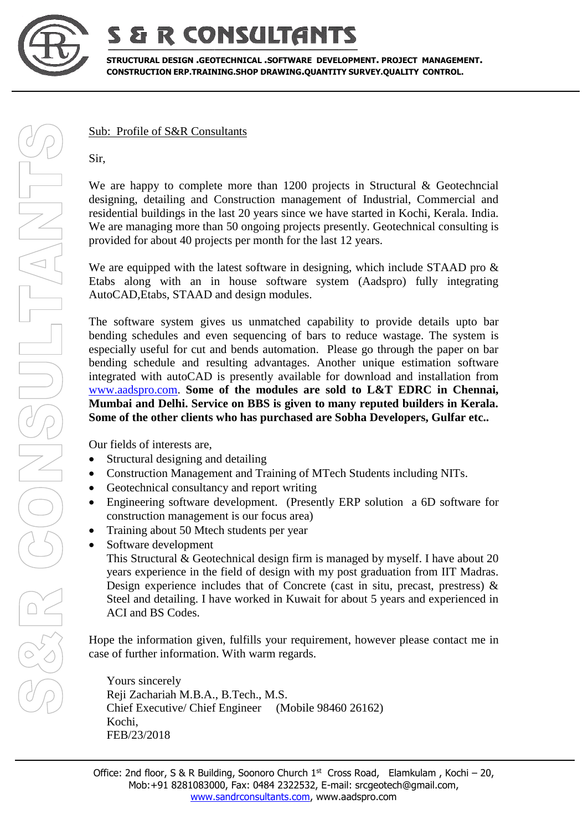

## **& R CONSULTANTS**

**STRUCTURAL DESIGN .GEOTECHNICAL .SOFTWARE DEVELOPMENT. PROJECT MANAGEMENT. CONSTRUCTION ERP.TRAINING.SHOP DRAWING.QUANTITY SURVEY.QUALITY CONTROL.**

Sub: Profile of S&R Consultants

Sir,

We are happy to complete more than 1200 projects in Structural & Geotechncial designing, detailing and Construction management of Industrial, Commercial and residential buildings in the last 20 years since we have started in Kochi, Kerala. India. We are managing more than 50 ongoing projects presently. Geotechnical consulting is provided for about 40 projects per month for the last 12 years.

We are equipped with the latest software in designing, which include STAAD pro  $\&$ Etabs along with an in house software system (Aadspro) fully integrating AutoCAD,Etabs, STAAD and design modules.

The software system gives us unmatched capability to provide details upto bar bending schedules and even sequencing of bars to reduce wastage. The system is especially useful for cut and bends automation. Please go through the paper on bar bending schedule and resulting advantages. Another unique estimation software integrated with autoCAD is presently available for download and installation from [www.aadspro.com.](http://www.aadspro.com/) **Some of the modules are sold to L&T EDRC in Chennai, Mumbai and Delhi. Service on BBS is given to many reputed builders in Kerala. Some of the other clients who has purchased are Sobha Developers, Gulfar etc..**

Our fields of interests are,

- Structural designing and detailing
- Construction Management and Training of MTech Students including NITs.
- Geotechnical consultancy and report writing
- Engineering software development. (Presently ERP solution a 6D software for construction management is our focus area)
- Training about 50 Mtech students per year
- Software development

This Structural & Geotechnical design firm is managed by myself. I have about 20 years experience in the field of design with my post graduation from IIT Madras. Design experience includes that of Concrete (cast in situ, precast, prestress)  $\&$ Steel and detailing. I have worked in Kuwait for about 5 years and experienced in ACI and BS Codes.

Hope the information given, fulfills your requirement, however please contact me in case of further information. With warm regards.

Yours sincerely Reji Zachariah M.B.A., B.Tech., M.S. Chief Executive/ Chief Engineer (Mobile 98460 26162) Kochi, FEB/23/2018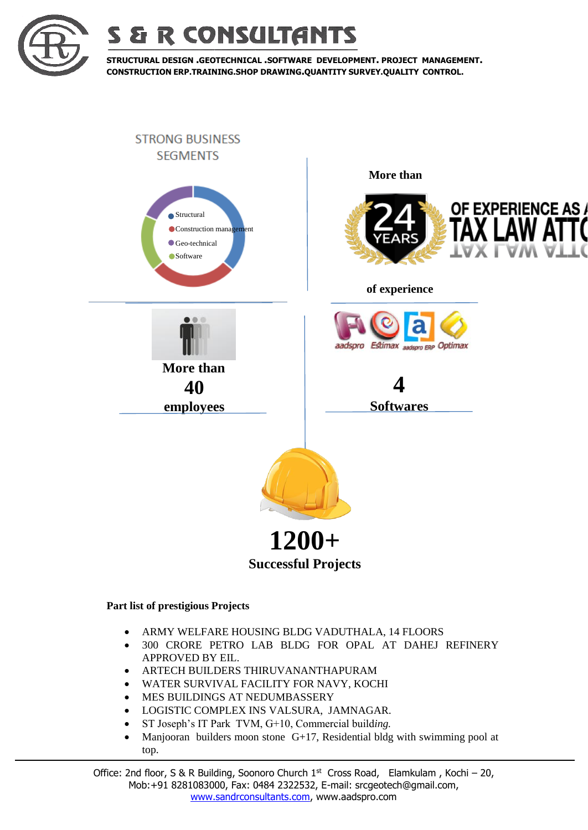



**STRUCTURAL DESIGN .GEOTECHNICAL .SOFTWARE DEVELOPMENT. PROJECT MANAGEMENT. CONSTRUCTION ERP.TRAINING.SHOP DRAWING.QUANTITY SURVEY.QUALITY CONTROL.**



## **Part list of prestigious Projects**

- ARMY WELFARE HOUSING BLDG VADUTHALA, 14 FLOORS
- 300 CRORE PETRO LAB BLDG FOR OPAL AT DAHEJ REFINERY APPROVED BY EIL.
- ARTECH BUILDERS THIRUVANANTHAPURAM
- WATER SURVIVAL FACILITY FOR NAVY, KOCHI
- MES BUILDINGS AT NEDUMBASSERY
- LOGISTIC COMPLEX INS VALSURA, JAMNAGAR.
- ST Joseph's IT Park TVM, G+10, Commercial build*ing.*
- Manjooran builders moon stone  $G+17$ , Residential bldg with swimming pool at top.